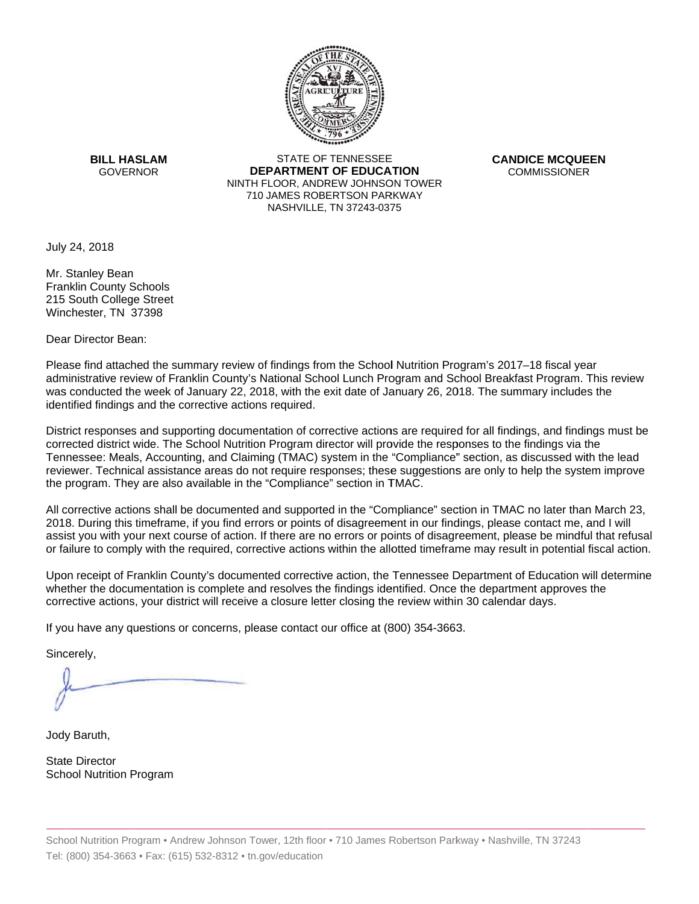

**BILL HASLAM** GOVERNOR **DEI** 

STATE OF TENNESSEE **EPARTMENT OF EDUCATION** NINTH FLOOR, ANDREW JOHNSON TOWER 710 JAMES ROBERTSON PARKWAY NASHVILLE,TN 37243-0375

**CANDICE MCQUEEN** CO OMMISSIONER

July 24, 2018

 Winchester, TN 37398 Mr. Stanley Bean Franklin County Schools 215 South College Street

Dear Director Bean:

Please find attached the summary review of findings from the School Nutrition Program's 2017–18 fiscal year administrative review of Franklin County's National School Lunch Program and School Breakfast Program. This review was conducted the week of January 22, 2018, with the exit date of January 26, 2018. The summary includes the identified findings and the corrective actions required.

Tennessee: Meals, Accounting, and Claiming (TMAC) system in the "Compliance" section, as discussed with the lead District responses and supporting documentation of corrective actions are required for all findings, and findings must be corrected district wide. The School Nutrition Program director will provide the responses to the findings via the reviewer. Technical assistance areas do not require responses; these suggestions are only to help the system improve the program. They are also available in the "Compliance" section in TMAC.

All corrective actions shall be documented and supported in the "Compliance" section in TMAC no later than March 23, 2018. During this timeframe, if you find errors or points of disagreement in our findings, please contact me, and I will assist you with your next course of action. If there are no errors or points of disagreement, please be mindful that refusal or failure to comply with the required, corrective actions within the allotted timeframe may result in potential fiscal action.

Upon receipt of Franklin County's documented corrective action, the Tennessee Department of Education will determine whether the documentation is complete and resolves the findings identified. Once the department approves the corrective actions, your district will receive a closure letter closing the review within 30 calendar days.

If you have any questions or concerns, please contact our office at (800) 354-3663.

Sincerely,

Jody Baruth,

State Director School Nutrition Program